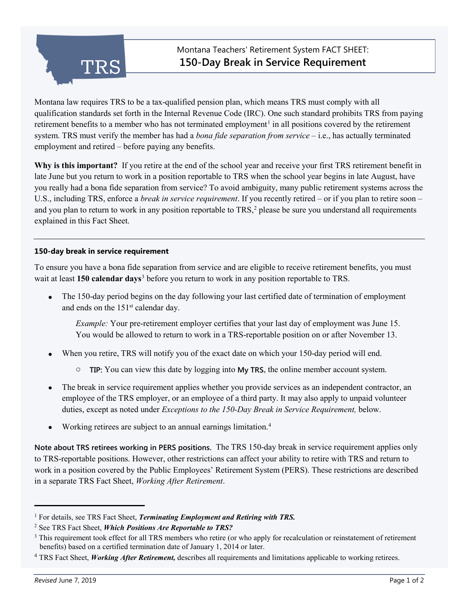

Montana law requires TRS to be a tax-qualified pension plan, which means TRS must comply with all qualification standards set forth in the Internal Revenue Code (IRC). One such standard prohibits TRS from paying retirement benefits to a member who has not terminated employment<sup>[1](#page-0-0)</sup> in all positions covered by the retirement system. TRS must verify the member has had a *bona fide separation from service* – i.e., has actually terminated employment and retired – before paying any benefits.

**Why is this important?** If you retire at the end of the school year and receive your first TRS retirement benefit in late June but you return to work in a position reportable to TRS when the school year begins in late August, have you really had a bona fide separation from service? To avoid ambiguity, many public retirement systems across the U.S., including TRS, enforce a *break in service requirement*. If you recently retired – or if you plan to retire soon – and you plan to return to work in any position reportable to TRS, [2](#page-0-1) please be sure you understand all requirements explained in this Fact Sheet.

### **150-day break in service requirement**

To ensure you have a bona fide separation from service and are eligible to receive retirement benefits, you must wait at least **150 calendar days**[3](#page-0-2) before you return to work in any position reportable to TRS.

• The 150-day period begins on the day following your last certified date of termination of employment and ends on the 151st calendar day.

*Example:* Your pre-retirement employer certifies that your last day of employment was June 15. You would be allowed to return to work in a TRS-reportable position on or after November 13.

- When you retire, TRS will notify you of the exact date on which your 150-day period will end.
	- o **TIP:** You can view this date by logging into **My TRS**, the online member account system.
- The break in service requirement applies whether you provide services as an independent contractor, an employee of the TRS employer, or an employee of a third party. It may also apply to unpaid volunteer duties, except as noted under *Exceptions to the 150-Day Break in Service Requirement,* below.
- Working retirees are subject to an annual earnings limitation.[4](#page-0-3)

**Note about TRS retirees working in PERS positions.** The TRS 150-day break in service requirement applies only to TRS-reportable positions. However, other restrictions can affect your ability to retire with TRS and return to work in a position covered by the Public Employees' Retirement System (PERS). These restrictions are described in a separate TRS Fact Sheet, *Working After Retirement*.

ֺ

<span id="page-0-0"></span><sup>&</sup>lt;sup>1</sup> For details, see TRS Fact Sheet, *Terminating Employment and Retiring with TRS*.

<span id="page-0-1"></span><sup>2</sup> See TRS Fact Sheet, *Which Positions Are Reportable to TRS?*

<span id="page-0-2"></span><sup>&</sup>lt;sup>3</sup> This requirement took effect for all TRS members who retire (or who apply for recalculation or reinstatement of retirement benefits) based on a certified termination date of January 1, 2014 or later.

<span id="page-0-3"></span><sup>4</sup> TRS Fact Sheet, *Working After Retirement,* describes all requirements and limitations applicable to working retirees.